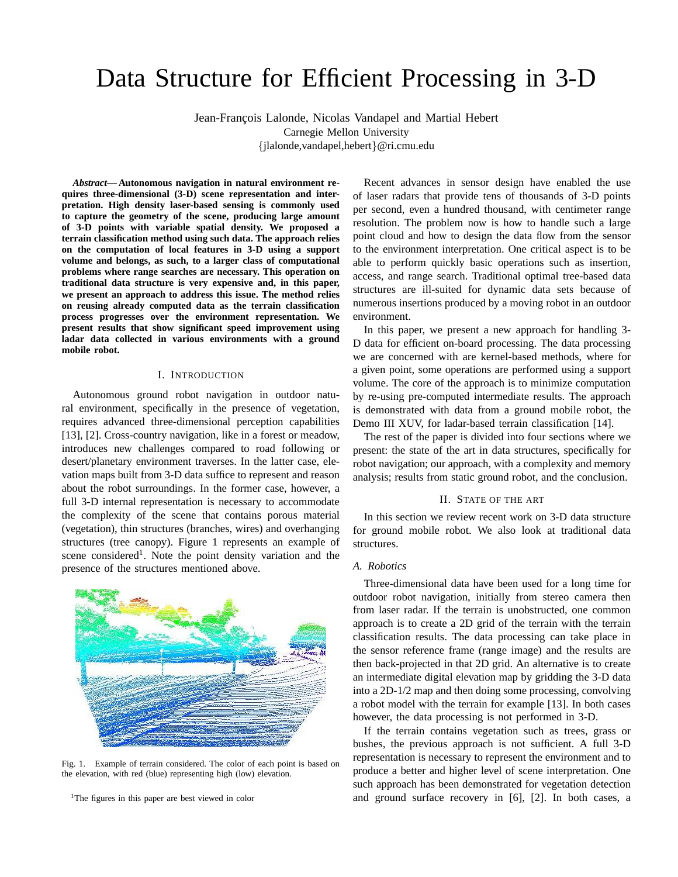# Data Structure for Efficient Processing in 3-D

Jean-François Lalonde, Nicolas Vandapel and Martial Hebert Carnegie Mellon University {jlalonde,vandapel,hebert}@ri.cmu.edu

*Abstract***— Autonomous navigation in natural environment requires three-dimensional (3-D) scene representation and interpretation. High density laser-based sensing is commonly used to capture the geometry of the scene, producing large amount of 3-D points with variable spatial density. We proposed a terrain classification method using such data. The approach relies on the computation of local features in 3-D using a support volume and belongs, as such, to a larger class of computational problems where range searches are necessary. This operation on traditional data structure is very expensive and, in this paper, we present an approach to address this issue. The method relies on reusing already computed data as the terrain classification process progresses over the environment representation. We present results that show significant speed improvement using ladar data collected in various environments with a ground mobile robot.**

## I. INTRODUCTION

Autonomous ground robot navigation in outdoor natural environment, specifically in the presence of vegetation, requires advanced three-dimensional perception capabilities [13], [2]. Cross-country navigation, like in a forest or meadow, introduces new challenges compared to road following or desert/planetary environment traverses. In the latter case, elevation maps built from 3-D data suffice to represent and reason about the robot surroundings. In the former case, however, a full 3-D internal representation is necessary to accommodate the complexity of the scene that contains porous material (vegetation), thin structures (branches, wires) and overhanging structures (tree canopy). Figure 1 represents an example of scene considered<sup>1</sup>. Note the point density variation and the presence of the structures mentioned above.



Fig. 1. Example of terrain considered. The color of each point is based on the elevation, with red (blue) representing high (low) elevation.

<sup>1</sup>The figures in this paper are best viewed in color

Recent advances in sensor design have enabled the use of laser radars that provide tens of thousands of 3-D points per second, even a hundred thousand, with centimeter range resolution. The problem now is how to handle such a large point cloud and how to design the data flow from the sensor to the environment interpretation. One critical aspect is to be able to perform quickly basic operations such as insertion, access, and range search. Traditional optimal tree-based data structures are ill-suited for dynamic data sets because of numerous insertions produced by a moving robot in an outdoor environment.

In this paper, we present a new approach for handling 3- D data for efficient on-board processing. The data processing we are concerned with are kernel-based methods, where for a given point, some operations are performed using a support volume. The core of the approach is to minimize computation by re-using pre-computed intermediate results. The approach is demonstrated with data from a ground mobile robot, the Demo III XUV, for ladar-based terrain classification [14].

The rest of the paper is divided into four sections where we present: the state of the art in data structures, specifically for robot navigation; our approach, with a complexity and memory analysis; results from static ground robot, and the conclusion.

## II. STATE OF THE ART

In this section we review recent work on 3-D data structure for ground mobile robot. We also look at traditional data structures.

## *A. Robotics*

Three-dimensional data have been used for a long time for outdoor robot navigation, initially from stereo camera then from laser radar. If the terrain is unobstructed, one common approach is to create a 2D grid of the terrain with the terrain classification results. The data processing can take place in the sensor reference frame (range image) and the results are then back-projected in that 2D grid. An alternative is to create an intermediate digital elevation map by gridding the 3-D data into a 2D-1/2 map and then doing some processing, convolving a robot model with the terrain for example [13]. In both cases however, the data processing is not performed in 3-D.

If the terrain contains vegetation such as trees, grass or bushes, the previous approach is not sufficient. A full 3-D representation is necessary to represent the environment and to produce a better and higher level of scene interpretation. One such approach has been demonstrated for vegetation detection and ground surface recovery in [6], [2]. In both cases, a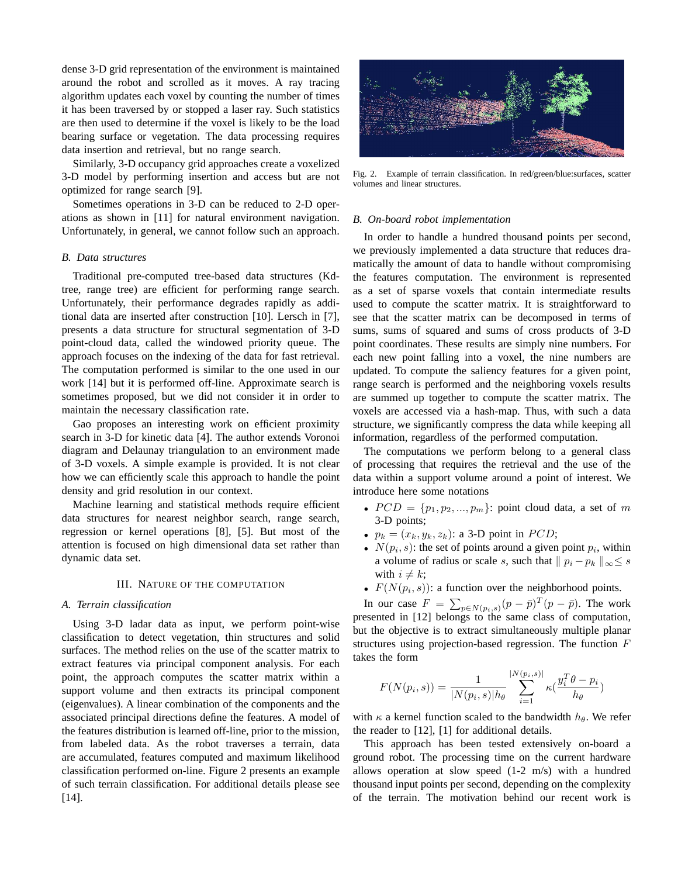dense 3-D grid representation of the environment is maintained around the robot and scrolled as it moves. A ray tracing algorithm updates each voxel by counting the number of times it has been traversed by or stopped a laser ray. Such statistics are then used to determine if the voxel is likely to be the load bearing surface or vegetation. The data processing requires data insertion and retrieval, but no range search.

Similarly, 3-D occupancy grid approaches create a voxelized 3-D model by performing insertion and access but are not optimized for range search [9].

Sometimes operations in 3-D can be reduced to 2-D operations as shown in [11] for natural environment navigation. Unfortunately, in general, we cannot follow such an approach.

## *B. Data structures*

Traditional pre-computed tree-based data structures (Kdtree, range tree) are efficient for performing range search. Unfortunately, their performance degrades rapidly as additional data are inserted after construction [10]. Lersch in [7], presents a data structure for structural segmentation of 3-D point-cloud data, called the windowed priority queue. The approach focuses on the indexing of the data for fast retrieval. The computation performed is similar to the one used in our work [14] but it is performed off-line. Approximate search is sometimes proposed, but we did not consider it in order to maintain the necessary classification rate.

Gao proposes an interesting work on efficient proximity search in 3-D for kinetic data [4]. The author extends Voronoi diagram and Delaunay triangulation to an environment made of 3-D voxels. A simple example is provided. It is not clear how we can efficiently scale this approach to handle the point density and grid resolution in our context.

Machine learning and statistical methods require efficient data structures for nearest neighbor search, range search, regression or kernel operations [8], [5]. But most of the attention is focused on high dimensional data set rather than dynamic data set.

## III. NATURE OF THE COMPUTATION

#### *A. Terrain classification*

Using 3-D ladar data as input, we perform point-wise classification to detect vegetation, thin structures and solid surfaces. The method relies on the use of the scatter matrix to extract features via principal component analysis. For each point, the approach computes the scatter matrix within a support volume and then extracts its principal component (eigenvalues). A linear combination of the components and the associated principal directions define the features. A model of the features distribution is learned off-line, prior to the mission, from labeled data. As the robot traverses a terrain, data are accumulated, features computed and maximum likelihood classification performed on-line. Figure 2 presents an example of such terrain classification. For additional details please see [14].



Fig. 2. Example of terrain classification. In red/green/blue:surfaces, scatter volumes and linear structures.

## *B. On-board robot implementation*

In order to handle a hundred thousand points per second, we previously implemented a data structure that reduces dramatically the amount of data to handle without compromising the features computation. The environment is represented as a set of sparse voxels that contain intermediate results used to compute the scatter matrix. It is straightforward to see that the scatter matrix can be decomposed in terms of sums, sums of squared and sums of cross products of 3-D point coordinates. These results are simply nine numbers. For each new point falling into a voxel, the nine numbers are updated. To compute the saliency features for a given point, range search is performed and the neighboring voxels results are summed up together to compute the scatter matrix. The voxels are accessed via a hash-map. Thus, with such a data structure, we significantly compress the data while keeping all information, regardless of the performed computation.

The computations we perform belong to a general class of processing that requires the retrieval and the use of the data within a support volume around a point of interest. We introduce here some notations

- $PCD = \{p_1, p_2, ..., p_m\}$ : point cloud data, a set of m 3-D points;
- $p_k = (x_k, y_k, z_k)$ : a 3-D point in  $PCD$ ;
- $N(p_i, s)$ : the set of points around a given point  $p_i$ , within a volume of radius or scale s, such that  $||p_i - p_k||_{\infty} \leq s$ with  $i \neq k$ ;
- $F(N(p_i, s))$ : a function over the neighborhood points.

In our case  $F = \sum_{p \in N(p_i, s)} (p - \bar{p})^T (p - \bar{p}).$  The work presented in [12] belongs to the same class of computation, but the objective is to extract simultaneously multiple planar structures using projection-based regression. The function F takes the form

$$
F(N(p_i, s)) = \frac{1}{|N(p_i, s)|h_{\theta}} \sum_{i=1}^{|N(p_i, s)|} \kappa(\frac{y_i^T \theta - p_i}{h_{\theta}})
$$

with  $\kappa$  a kernel function scaled to the bandwidth  $h_{\theta}$ . We refer the reader to [12], [1] for additional details.

This approach has been tested extensively on-board a ground robot. The processing time on the current hardware allows operation at slow speed (1-2 m/s) with a hundred thousand input points per second, depending on the complexity of the terrain. The motivation behind our recent work is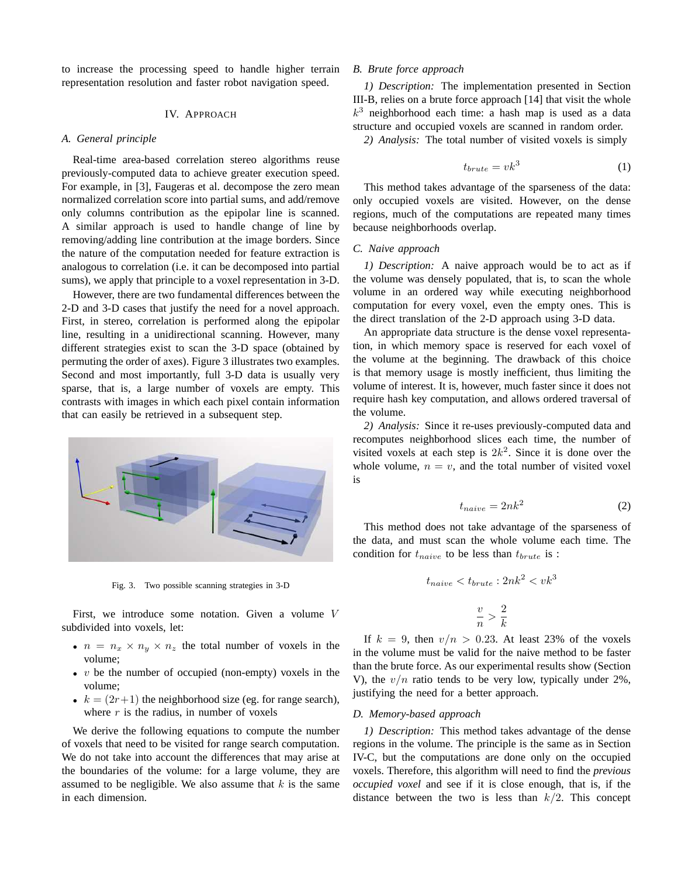to increase the processing speed to handle higher terrain representation resolution and faster robot navigation speed.

## IV. APPROACH

## *A. General principle*

Real-time area-based correlation stereo algorithms reuse previously-computed data to achieve greater execution speed. For example, in [3], Faugeras et al. decompose the zero mean normalized correlation score into partial sums, and add/remove only columns contribution as the epipolar line is scanned. A similar approach is used to handle change of line by removing/adding line contribution at the image borders. Since the nature of the computation needed for feature extraction is analogous to correlation (i.e. it can be decomposed into partial sums), we apply that principle to a voxel representation in 3-D.

However, there are two fundamental differences between the 2-D and 3-D cases that justify the need for a novel approach. First, in stereo, correlation is performed along the epipolar line, resulting in a unidirectional scanning. However, many different strategies exist to scan the 3-D space (obtained by permuting the order of axes). Figure 3 illustrates two examples. Second and most importantly, full 3-D data is usually very sparse, that is, a large number of voxels are empty. This contrasts with images in which each pixel contain information that can easily be retrieved in a subsequent step.



Fig. 3. Two possible scanning strategies in 3-D

First, we introduce some notation. Given a volume V subdivided into voxels, let:

- $n = n_x \times n_y \times n_z$  the total number of voxels in the volume;
- $v$  be the number of occupied (non-empty) voxels in the volume;
- $k = (2r+1)$  the neighborhood size (eg. for range search), where  $r$  is the radius, in number of voxels

We derive the following equations to compute the number of voxels that need to be visited for range search computation. We do not take into account the differences that may arise at the boundaries of the volume: for a large volume, they are assumed to be negligible. We also assume that  $k$  is the same in each dimension.

## *B. Brute force approach*

*1) Description:* The implementation presented in Section III-B, relies on a brute force approach [14] that visit the whole  $k<sup>3</sup>$  neighborhood each time: a hash map is used as a data structure and occupied voxels are scanned in random order.

*2) Analysis:* The total number of visited voxels is simply

$$
t_{brute} = v k^3 \tag{1}
$$

This method takes advantage of the sparseness of the data: only occupied voxels are visited. However, on the dense regions, much of the computations are repeated many times because neighborhoods overlap.

## *C. Naive approach*

*1) Description:* A naive approach would be to act as if the volume was densely populated, that is, to scan the whole volume in an ordered way while executing neighborhood computation for every voxel, even the empty ones. This is the direct translation of the 2-D approach using 3-D data.

An appropriate data structure is the dense voxel representation, in which memory space is reserved for each voxel of the volume at the beginning. The drawback of this choice is that memory usage is mostly inefficient, thus limiting the volume of interest. It is, however, much faster since it does not require hash key computation, and allows ordered traversal of the volume.

*2) Analysis:* Since it re-uses previously-computed data and recomputes neighborhood slices each time, the number of visited voxels at each step is  $2k^2$ . Since it is done over the whole volume,  $n = v$ , and the total number of visited voxel is

$$
t_{naive} = 2nk^2 \tag{2}
$$

This method does not take advantage of the sparseness of the data, and must scan the whole volume each time. The condition for  $t_{naive}$  to be less than  $t_{brute}$  is :

$$
t_{naive} < t_{brute} : 2nk^2 < vk^3
$$
\n
$$
\frac{v}{n} > \frac{2}{k}
$$

If  $k = 9$ , then  $v/n > 0.23$ . At least 23% of the voxels in the volume must be valid for the naive method to be faster than the brute force. As our experimental results show (Section V), the  $v/n$  ratio tends to be very low, typically under 2%, justifying the need for a better approach.

## *D. Memory-based approach*

*1) Description:* This method takes advantage of the dense regions in the volume. The principle is the same as in Section IV-C, but the computations are done only on the occupied voxels. Therefore, this algorithm will need to find the *previous occupied voxel* and see if it is close enough, that is, if the distance between the two is less than  $k/2$ . This concept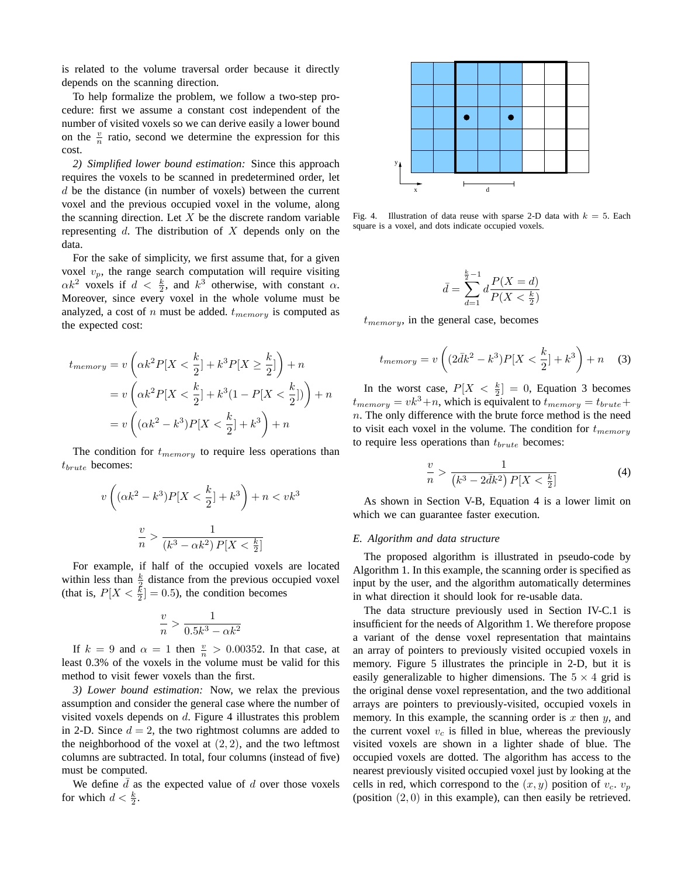is related to the volume traversal order because it directly depends on the scanning direction.

To help formalize the problem, we follow a two-step procedure: first we assume a constant cost independent of the number of visited voxels so we can derive easily a lower bound on the  $\frac{v}{n}$  ratio, second we determine the expression for this cost.

*2) Simplified lower bound estimation:* Since this approach requires the voxels to be scanned in predetermined order, let d be the distance (in number of voxels) between the current voxel and the previous occupied voxel in the volume, along the scanning direction. Let  $X$  be the discrete random variable representing  $d$ . The distribution of  $X$  depends only on the data.

For the sake of simplicity, we first assume that, for a given voxel  $v_p$ , the range search computation will require visiting  $\alpha k^2$  voxels if  $d < \frac{k}{2}$ , and  $k^3$  otherwise, with constant  $\alpha$ . Moreover, since every voxel in the whole volume must be analyzed, a cost of n must be added.  $t_{memory}$  is computed as the expected cost:

$$
t_{memory} = v\left(\alpha k^2 P[X < \frac{k}{2}] + k^3 P[X \ge \frac{k}{2}]\right) + n
$$
\n
$$
= v\left(\alpha k^2 P[X < \frac{k}{2}] + k^3 (1 - P[X < \frac{k}{2}])\right) + n
$$
\n
$$
= v\left((\alpha k^2 - k^3) P[X < \frac{k}{2}] + k^3\right) + n
$$

The condition for  $t_{memory}$  to require less operations than  $t_{brute}$  becomes:

$$
v\left((\alpha k^2 - k^3)P[X < \frac{k}{2}] + k^3\right) + n < vk^3
$$
\n
$$
\frac{v}{n} > \frac{1}{(k^3 - \alpha k^2)P[X < \frac{k}{2}]}
$$

For example, if half of the occupied voxels are located within less than  $\frac{k}{2}$  distance from the previous occupied voxel (that is,  $P[X \leq \frac{k}{2}] = 0.5$ ), the condition becomes

$$
\frac{v}{n}>\frac{1}{0.5k^3-\alpha k^2}
$$

If  $k = 9$  and  $\alpha = 1$  then  $\frac{v}{n} > 0.00352$ . In that case, at least 0.3% of the voxels in the volume must be valid for this method to visit fewer voxels than the first.

*3) Lower bound estimation:* Now, we relax the previous assumption and consider the general case where the number of visited voxels depends on  $d$ . Figure 4 illustrates this problem in 2-D. Since  $d = 2$ , the two rightmost columns are added to the neighborhood of the voxel at  $(2, 2)$ , and the two leftmost columns are subtracted. In total, four columns (instead of five) must be computed.

We define  $\overline{d}$  as the expected value of d over those voxels for which  $d < \frac{k}{2}$ .



Fig. 4. Illustration of data reuse with sparse 2-D data with  $k = 5$ . Each square is a voxel, and dots indicate occupied voxels.

$$
\bar{d} = \sum_{d=1}^{\frac{k}{2}-1} d \frac{P(X=d)}{P(X<\frac{k}{2})}
$$

 $t_{memory}$ , in the general case, becomes

$$
t_{memory} = v\left((2\bar{d}k^2 - k^3)P[X < \frac{k}{2}] + k^3\right) + n \quad (3)
$$

In the worst case,  $P[X \leq \frac{k}{2}] = 0$ , Equation 3 becomes  $t_{memory} = vk^3+n$ , which is equivalent to  $t_{memory} = t_{brute} +$  $n.$  The only difference with the brute force method is the need to visit each voxel in the volume. The condition for  $t_{memory}$ to require less operations than  $t_{brute}$  becomes:

$$
\frac{v}{n} > \frac{1}{\left(k^3 - 2\bar{d}k^2\right)P[X < \frac{k}{2}]}\tag{4}
$$

As shown in Section V-B, Equation 4 is a lower limit on which we can guarantee faster execution.

## *E. Algorithm and data structure*

The proposed algorithm is illustrated in pseudo-code by Algorithm 1. In this example, the scanning order is specified as input by the user, and the algorithm automatically determines in what direction it should look for re-usable data.

The data structure previously used in Section IV-C.1 is insufficient for the needs of Algorithm 1. We therefore propose a variant of the dense voxel representation that maintains an array of pointers to previously visited occupied voxels in memory. Figure 5 illustrates the principle in 2-D, but it is easily generalizable to higher dimensions. The  $5 \times 4$  grid is the original dense voxel representation, and the two additional arrays are pointers to previously-visited, occupied voxels in memory. In this example, the scanning order is  $x$  then  $y$ , and the current voxel  $v_c$  is filled in blue, whereas the previously visited voxels are shown in a lighter shade of blue. The occupied voxels are dotted. The algorithm has access to the nearest previously visited occupied voxel just by looking at the cells in red, which correspond to the  $(x, y)$  position of  $v_c$ .  $v_p$ (position  $(2, 0)$  in this example), can then easily be retrieved.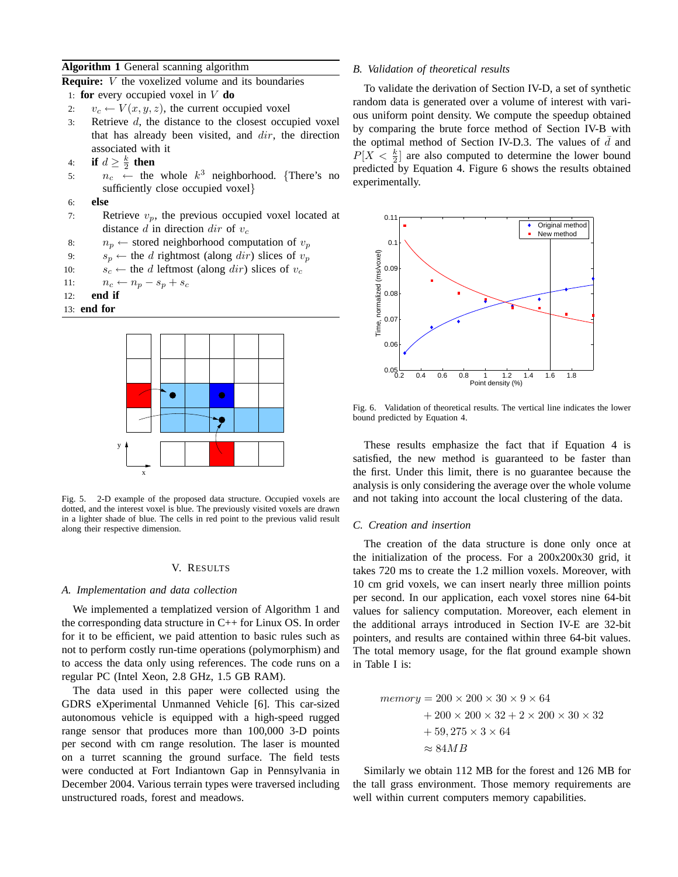## **Algorithm 1** General scanning algorithm

**Require:** V the voxelized volume and its boundaries

- 1: **for** every occupied voxel in V **do**
- 2:  $v_c \leftarrow V(x, y, z)$ , the current occupied voxel
- 3: Retrieve d, the distance to the closest occupied voxel that has already been visited, and  $dir$ , the direction associated with it
- 4: **if**  $d \geq \frac{k}{2}$  **then**
- 5:  $n_c \leftarrow$  the whole  $k^3$  neighborhood. {There's no sufficiently close occupied voxel}
- 6: **else**
- 7: Retrieve  $v_p$ , the previous occupied voxel located at distance d in direction dir of  $v_c$
- 8:  $n_p \leftarrow$  stored neighborhood computation of  $v_p$
- 9:  $s_p \leftarrow$  the d rightmost (along dir) slices of  $v_p$
- 10:  $s_c \leftarrow$  the d leftmost (along dir) slices of  $v_c$

11:  $n_c \leftarrow n_p - s_p + s_c$ 

- 12: **end if**
- 13: **end for**



Fig. 5. 2-D example of the proposed data structure. Occupied voxels are dotted, and the interest voxel is blue. The previously visited voxels are drawn in a lighter shade of blue. The cells in red point to the previous valid result along their respective dimension.

## V. RESULTS

## *A. Implementation and data collection*

We implemented a templatized version of Algorithm 1 and the corresponding data structure in C++ for Linux OS. In order for it to be efficient, we paid attention to basic rules such as not to perform costly run-time operations (polymorphism) and to access the data only using references. The code runs on a regular PC (Intel Xeon, 2.8 GHz, 1.5 GB RAM).

The data used in this paper were collected using the GDRS eXperimental Unmanned Vehicle [6]. This car-sized autonomous vehicle is equipped with a high-speed rugged range sensor that produces more than 100,000 3-D points per second with cm range resolution. The laser is mounted on a turret scanning the ground surface. The field tests were conducted at Fort Indiantown Gap in Pennsylvania in December 2004. Various terrain types were traversed including unstructured roads, forest and meadows.

#### *B. Validation of theoretical results*

To validate the derivation of Section IV-D, a set of synthetic random data is generated over a volume of interest with various uniform point density. We compute the speedup obtained by comparing the brute force method of Section IV-B with the optimal method of Section IV-D.3. The values of  $\bar{d}$  and  $P[X \lt \frac{k}{2}]$  are also computed to determine the lower bound predicted by Equation 4. Figure 6 shows the results obtained experimentally.



Fig. 6. Validation of theoretical results. The vertical line indicates the lower bound predicted by Equation 4.

These results emphasize the fact that if Equation 4 is satisfied, the new method is guaranteed to be faster than the first. Under this limit, there is no guarantee because the analysis is only considering the average over the whole volume and not taking into account the local clustering of the data.

#### *C. Creation and insertion*

The creation of the data structure is done only once at the initialization of the process. For a 200x200x30 grid, it takes 720 ms to create the 1.2 million voxels. Moreover, with 10 cm grid voxels, we can insert nearly three million points per second. In our application, each voxel stores nine 64-bit values for saliency computation. Moreover, each element in the additional arrays introduced in Section IV-E are 32-bit pointers, and results are contained within three 64-bit values. The total memory usage, for the flat ground example shown in Table I is:

$$
memory = 200 \times 200 \times 30 \times 9 \times 64
$$
  
+ 200 \times 200 \times 32 + 2 \times 200 \times 30 \times 32  
+ 59,275 \times 3 \times 64  

$$
\approx 84MB
$$

Similarly we obtain 112 MB for the forest and 126 MB for the tall grass environment. Those memory requirements are well within current computers memory capabilities.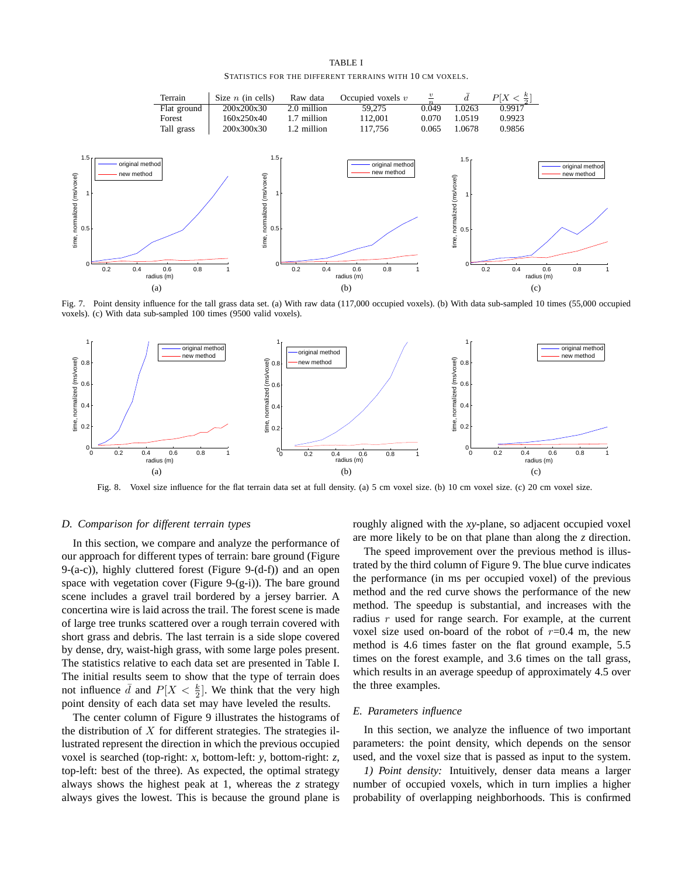TABLE I STATISTICS FOR THE DIFFERENT TERRAINS WITH 10 CM VOXELS.



Fig. 7. Point density influence for the tall grass data set. (a) With raw data (117,000 occupied voxels). (b) With data sub-sampled 10 times (55,000 occupied voxels). (c) With data sub-sampled 100 times (9500 valid voxels).



Fig. 8. Voxel size influence for the flat terrain data set at full density. (a) 5 cm voxel size. (b) 10 cm voxel size. (c) 20 cm voxel size.

#### *D. Comparison for different terrain types*

In this section, we compare and analyze the performance of our approach for different types of terrain: bare ground (Figure 9-(a-c)), highly cluttered forest (Figure 9-(d-f)) and an open space with vegetation cover (Figure 9-(g-i)). The bare ground scene includes a gravel trail bordered by a jersey barrier. A concertina wire is laid across the trail. The forest scene is made of large tree trunks scattered over a rough terrain covered with short grass and debris. The last terrain is a side slope covered by dense, dry, waist-high grass, with some large poles present. The statistics relative to each data set are presented in Table I. The initial results seem to show that the type of terrain does not influence  $\bar{d}$  and  $P[X < \frac{k}{2}]$ . We think that the very high point density of each data set may have leveled the results.

The center column of Figure 9 illustrates the histograms of the distribution of  $X$  for different strategies. The strategies illustrated represent the direction in which the previous occupied voxel is searched (top-right: *x*, bottom-left: *y*, bottom-right: *z*, top-left: best of the three). As expected, the optimal strategy always shows the highest peak at 1, whereas the *z* strategy always gives the lowest. This is because the ground plane is

roughly aligned with the *xy*-plane, so adjacent occupied voxel are more likely to be on that plane than along the *z* direction.

The speed improvement over the previous method is illustrated by the third column of Figure 9. The blue curve indicates the performance (in ms per occupied voxel) of the previous method and the red curve shows the performance of the new method. The speedup is substantial, and increases with the radius r used for range search. For example, at the current voxel size used on-board of the robot of  $r=0.4$  m, the new method is 4.6 times faster on the flat ground example, 5.5 times on the forest example, and 3.6 times on the tall grass, which results in an average speedup of approximately 4.5 over the three examples.

## *E. Parameters influence*

In this section, we analyze the influence of two important parameters: the point density, which depends on the sensor used, and the voxel size that is passed as input to the system.

*1) Point density:* Intuitively, denser data means a larger number of occupied voxels, which in turn implies a higher probability of overlapping neighborhoods. This is confirmed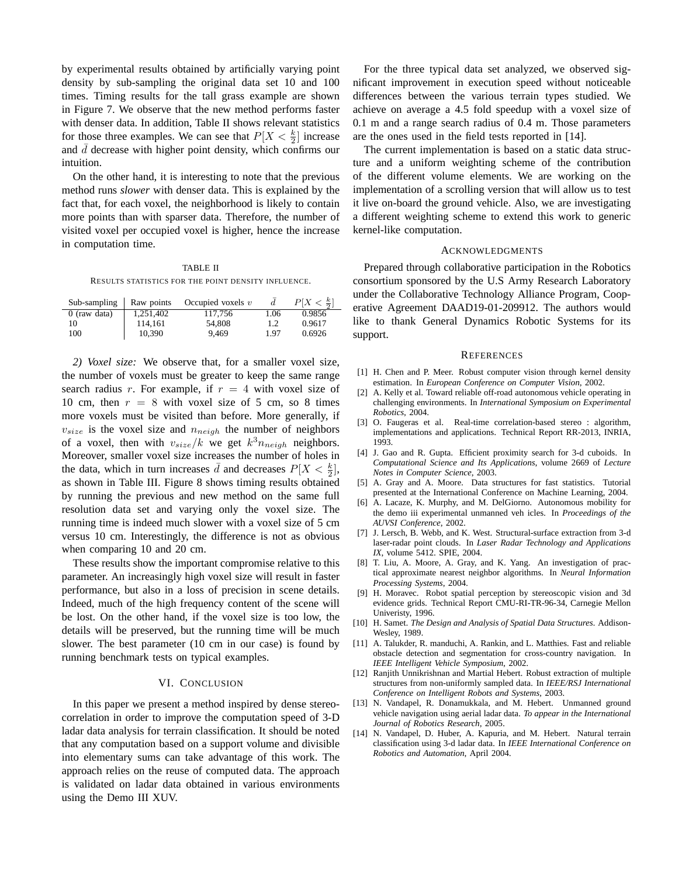by experimental results obtained by artificially varying point density by sub-sampling the original data set 10 and 100 times. Timing results for the tall grass example are shown in Figure 7. We observe that the new method performs faster with denser data. In addition, Table II shows relevant statistics for those three examples. We can see that  $P[X \lt \frac{k}{2}]$  increase and  $d$  decrease with higher point density, which confirms our intuition.

On the other hand, it is interesting to note that the previous method runs *slower* with denser data. This is explained by the fact that, for each voxel, the neighborhood is likely to contain more points than with sparser data. Therefore, the number of visited voxel per occupied voxel is higher, hence the increase in computation time.

TABLE II RESULTS STATISTICS FOR THE POINT DENSITY INFLUENCE.

| Sub-sampling   | Raw points | Occupied voxels $v$ | d    | $P[X \leq \frac{k}{2}]$ |
|----------------|------------|---------------------|------|-------------------------|
| $0$ (raw data) | 1,251,402  | 117.756             | 1.06 | 0.9856                  |
| 10             | 114.161    | 54,808              | 1.2  | 0.9617                  |
| 100            | 10.390     | 9.469               | 1.97 | 0.6926                  |

*2) Voxel size:* We observe that, for a smaller voxel size, the number of voxels must be greater to keep the same range search radius r. For example, if  $r = 4$  with voxel size of 10 cm, then  $r = 8$  with voxel size of 5 cm, so 8 times more voxels must be visited than before. More generally, if  $v_{size}$  is the voxel size and  $n_{neigh}$  the number of neighbors of a voxel, then with  $v_{size}/k$  we get  $k^3 n_{neigh}$  neighbors. Moreover, smaller voxel size increases the number of holes in the data, which in turn increases  $\bar{d}$  and decreases  $P[X < \frac{k}{2}]$ , as shown in Table III. Figure 8 shows timing results obtained by running the previous and new method on the same full resolution data set and varying only the voxel size. The running time is indeed much slower with a voxel size of 5 cm versus 10 cm. Interestingly, the difference is not as obvious when comparing 10 and 20 cm.

These results show the important compromise relative to this parameter. An increasingly high voxel size will result in faster performance, but also in a loss of precision in scene details. Indeed, much of the high frequency content of the scene will be lost. On the other hand, if the voxel size is too low, the details will be preserved, but the running time will be much slower. The best parameter (10 cm in our case) is found by running benchmark tests on typical examples.

#### VI. CONCLUSION

In this paper we present a method inspired by dense stereocorrelation in order to improve the computation speed of 3-D ladar data analysis for terrain classification. It should be noted that any computation based on a support volume and divisible into elementary sums can take advantage of this work. The approach relies on the reuse of computed data. The approach is validated on ladar data obtained in various environments using the Demo III XUV.

For the three typical data set analyzed, we observed significant improvement in execution speed without noticeable differences between the various terrain types studied. We achieve on average a 4.5 fold speedup with a voxel size of 0.1 m and a range search radius of 0.4 m. Those parameters are the ones used in the field tests reported in [14].

The current implementation is based on a static data structure and a uniform weighting scheme of the contribution of the different volume elements. We are working on the implementation of a scrolling version that will allow us to test it live on-board the ground vehicle. Also, we are investigating a different weighting scheme to extend this work to generic kernel-like computation.

#### ACKNOWLEDGMENTS

Prepared through collaborative participation in the Robotics consortium sponsored by the U.S Army Research Laboratory under the Collaborative Technology Alliance Program, Cooperative Agreement DAAD19-01-209912. The authors would like to thank General Dynamics Robotic Systems for its support.

#### **REFERENCES**

- [1] H. Chen and P. Meer. Robust computer vision through kernel density estimation. In *European Conference on Computer Vision*, 2002.
- [2] A. Kelly et al. Toward reliable off-road autonomous vehicle operating in challenging environments. In *International Symposium on Experimental Robotics*, 2004.
- [3] O. Faugeras et al. Real-time correlation-based stereo : algorithm, implementations and applications. Technical Report RR-2013, INRIA, 1993.
- [4] J. Gao and R. Gupta. Efficient proximity search for 3-d cuboids. In *Computational Science and Its Applications*, volume 2669 of *Lecture Notes in Computer Science*, 2003.
- [5] A. Gray and A. Moore. Data structures for fast statistics. Tutorial presented at the International Conference on Machine Learning, 2004.
- [6] A. Lacaze, K. Murphy, and M. DelGiorno. Autonomous mobility for the demo iii experimental unmanned veh icles. In *Proceedings of the AUVSI Conference*, 2002.
- [7] J. Lersch, B. Webb, and K. West. Structural-surface extraction from 3-d laser-radar point clouds. In *Laser Radar Technology and Applications IX*, volume 5412. SPIE, 2004.
- [8] T. Liu, A. Moore, A. Gray, and K. Yang. An investigation of practical approximate nearest neighbor algorithms. In *Neural Information Processing Systems*, 2004.
- [9] H. Moravec. Robot spatial perception by stereoscopic vision and 3d evidence grids. Technical Report CMU-RI-TR-96-34, Carnegie Mellon Univeristy, 1996.
- [10] H. Samet. *The Design and Analysis of Spatial Data Structures*. Addison-Wesley, 1989.
- [11] A. Talukder, R. manduchi, A. Rankin, and L. Matthies. Fast and reliable obstacle detection and segmentation for cross-country navigation. In *IEEE Intelligent Vehicle Symposium*, 2002.
- [12] Ranjith Unnikrishnan and Martial Hebert. Robust extraction of multiple structures from non-uniformly sampled data. In *IEEE/RSJ International Conference on Intelligent Robots and Systems*, 2003.
- [13] N. Vandapel, R. Donamukkala, and M. Hebert. Unmanned ground vehicle navigation using aerial ladar data. *To appear in the International Journal of Robotics Research*, 2005.
- [14] N. Vandapel, D. Huber, A. Kapuria, and M. Hebert. Natural terrain classification using 3-d ladar data. In *IEEE International Conference on Robotics and Automation*, April 2004.